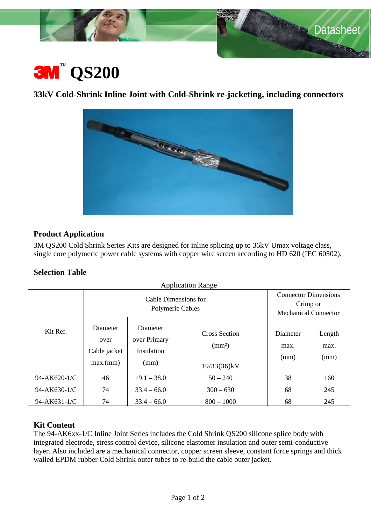

ban Mi



# **33kV Cold-Shrink Inline Joint with Cold-Shrink re-jacketing, including connectors**



# **Product Application**

3M QS200 Cold Shrink Series Kits are designed for inline splicing up to 36kV Umax voltage class, single core polymeric power cable systems with copper wire screen according to HD 620 (IEC 60502).

# **Selection Table**

| <b>Application Range</b> |                                              |                                                |                                                           |                                                                        |                        |
|--------------------------|----------------------------------------------|------------------------------------------------|-----------------------------------------------------------|------------------------------------------------------------------------|------------------------|
| Kit Ref.                 | Cable Dimensions for<br>Polymeric Cables     |                                                |                                                           | <b>Connector Dimensions</b><br>Crimp or<br><b>Mechanical Connector</b> |                        |
|                          | Diameter<br>over<br>Cable jacket<br>max.(mm) | Diameter<br>over Primary<br>Insulation<br>(mm) | <b>Cross Section</b><br>$\text{(mm}^2)$<br>$19/33(36)$ kV | Diameter<br>max.<br>(mm)                                               | Length<br>max.<br>(mm) |
| 94-AK620-1/C             | 46                                           | $19.1 - 38.0$                                  | $50 - 240$                                                | 38                                                                     | 160                    |
| 94-AK630-1/C             | 74                                           | $33.4 - 66.0$                                  | $300 - 630$                                               | 68                                                                     | 245                    |
| 94-AK631-1/C             | 74                                           | $33.4 - 66.0$                                  | $800 - 1000$                                              | 68                                                                     | 245                    |

# **Kit Content**

The 94-AK6xx-1/C Inline Joint Series includes the Cold Shrink QS200 silicone splice body with integrated electrode, stress control device, silicone elastomer insulation and outer semi-conductive layer. Also included are a mechanical connector, copper screen sleeve, constant force springs and thick walled EPDM rubber Cold Shrink outer tubes to re-build the cable outer jacket.